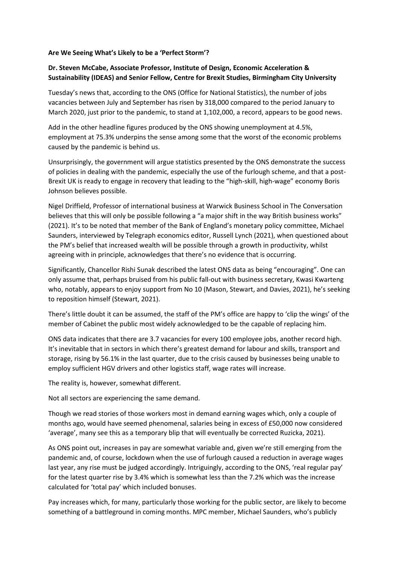## **Are We Seeing What's Likely to be a 'Perfect Storm'?**

## **Dr. Steven McCabe, Associate Professor, Institute of Design, Economic Acceleration & Sustainability (IDEAS) and Senior Fellow, Centre for Brexit Studies, Birmingham City University**

Tuesday's news that, according to the ONS (Office for National Statistics), the number of jobs vacancies between July and September has risen by 318,000 compared to the period January to March 2020, just prior to the pandemic, to stand at 1,102,000, a record, appears to be good news.

Add in the other headline figures produced by the ONS showing unemployment at 4.5%, employment at 75.3% underpins the sense among some that the worst of the economic problems caused by the pandemic is behind us.

Unsurprisingly, the government will argue statistics presented by the ONS demonstrate the success of policies in dealing with the pandemic, especially the use of the furlough scheme, and that a post-Brexit UK is ready to engage in recovery that leading to the "high-skill, high-wage" economy Boris Johnson believes possible.

Nigel Driffield, Professor of international business at Warwick Business School in The Conversation believes that this will only be possible following a "a major shift in the way British business works" (2021). It's to be noted that member of the Bank of England's monetary policy committee, Michael Saunders, interviewed by Telegraph economics editor, Russell Lynch (2021), when questioned about the PM's belief that increased wealth will be possible through a growth in productivity, whilst agreeing with in principle, acknowledges that there's no evidence that is occurring.

Significantly, Chancellor Rishi Sunak described the latest ONS data as being "encouraging". One can only assume that, perhaps bruised from his public fall-out with business secretary, Kwasi Kwarteng who, notably, appears to enjoy support from No 10 (Mason, Stewart, and Davies, 2021), he's seeking to reposition himself (Stewart, 2021).

There's little doubt it can be assumed, the staff of the PM's office are happy to 'clip the wings' of the member of Cabinet the public most widely acknowledged to be the capable of replacing him.

ONS data indicates that there are 3.7 vacancies for every 100 employee jobs, another record high. It's inevitable that in sectors in which there's greatest demand for labour and skills, transport and storage, rising by 56.1% in the last quarter, due to the crisis caused by businesses being unable to employ sufficient HGV drivers and other logistics staff, wage rates will increase.

The reality is, however, somewhat different.

Not all sectors are experiencing the same demand.

Though we read stories of those workers most in demand earning wages which, only a couple of months ago, would have seemed phenomenal, salaries being in excess of £50,000 now considered 'average', many see this as a temporary blip that will eventually be corrected Ruzicka, 2021).

As ONS point out, increases in pay are somewhat variable and, given we're still emerging from the pandemic and, of course, lockdown when the use of furlough caused a reduction in average wages last year, any rise must be judged accordingly. Intriguingly, according to the ONS, 'real regular pay' for the latest quarter rise by 3.4% which is somewhat less than the 7.2% which was the increase calculated for 'total pay' which included bonuses.

Pay increases which, for many, particularly those working for the public sector, are likely to become something of a battleground in coming months. MPC member, Michael Saunders, who's publicly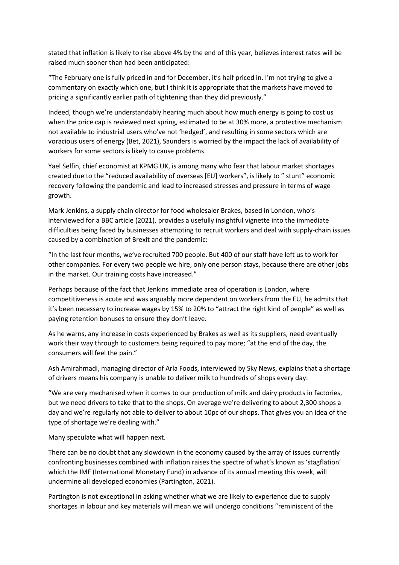stated that inflation is likely to rise above 4% by the end of this year, believes interest rates will be raised much sooner than had been anticipated:

"The February one is fully priced in and for December, it's half priced in. I'm not trying to give a commentary on exactly which one, but I think it is appropriate that the markets have moved to pricing a significantly earlier path of tightening than they did previously."

Indeed, though we're understandably hearing much about how much energy is going to cost us when the price cap is reviewed next spring, estimated to be at 30% more, a protective mechanism not available to industrial users who've not 'hedged', and resulting in some sectors which are voracious users of energy (Bet, 2021), Saunders is worried by the impact the lack of availability of workers for some sectors is likely to cause problems.

Yael Selfin, chief economist at KPMG UK, is among many who fear that labour market shortages created due to the "reduced availability of overseas [EU] workers", is likely to " stunt" economic recovery following the pandemic and lead to increased stresses and pressure in terms of wage growth.

Mark Jenkins, a supply chain director for food wholesaler Brakes, based in London, who's interviewed for a BBC article (2021), provides a usefully insightful vignette into the immediate difficulties being faced by businesses attempting to recruit workers and deal with supply-chain issues caused by a combination of Brexit and the pandemic:

"In the last four months, we've recruited 700 people. But 400 of our staff have left us to work for other companies. For every two people we hire, only one person stays, because there are other jobs in the market. Our training costs have increased."

Perhaps because of the fact that Jenkins immediate area of operation is London, where competitiveness is acute and was arguably more dependent on workers from the EU, he admits that it's been necessary to increase wages by 15% to 20% to "attract the right kind of people" as well as paying retention bonuses to ensure they don't leave.

As he warns, any increase in costs experienced by Brakes as well as its suppliers, need eventually work their way through to customers being required to pay more; "at the end of the day, the consumers will feel the pain."

Ash Amirahmadi, managing director of Arla Foods, interviewed by Sky News, explains that a shortage of drivers means his company is unable to deliver milk to hundreds of shops every day:

"We are very mechanised when it comes to our production of milk and dairy products in factories, but we need drivers to take that to the shops. On average we're delivering to about 2,300 shops a day and we're regularly not able to deliver to about 10pc of our shops. That gives you an idea of the type of shortage we're dealing with."

Many speculate what will happen next.

There can be no doubt that any slowdown in the economy caused by the array of issues currently confronting businesses combined with inflation raises the spectre of what's known as 'stagflation' which the IMF (International Monetary Fund) in advance of its annual meeting this week, will undermine all developed economies (Partington, 2021).

Partington is not exceptional in asking whether what we are likely to experience due to supply shortages in labour and key materials will mean we will undergo conditions "reminiscent of the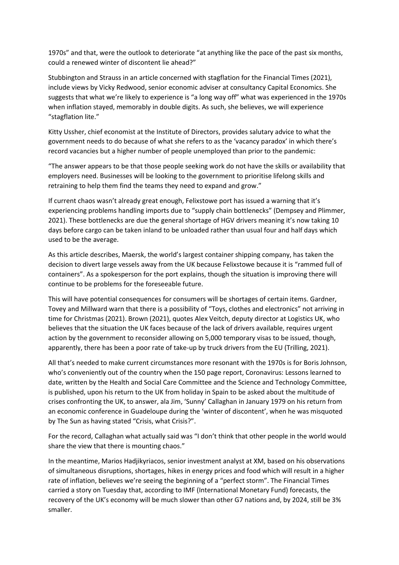1970s" and that, were the outlook to deteriorate "at anything like the pace of the past six months, could a renewed winter of discontent lie ahead?"

Stubbington and Strauss in an article concerned with stagflation for the Financial Times (2021), include views by Vicky Redwood, senior economic adviser at consultancy Capital Economics. She suggests that what we're likely to experience is "a long way off" what was experienced in the 1970s when inflation stayed, memorably in double digits. As such, she believes, we will experience "stagflation lite."

Kitty Ussher, chief economist at the Institute of Directors, provides salutary advice to what the government needs to do because of what she refers to as the 'vacancy paradox' in which there's record vacancies but a higher number of people unemployed than prior to the pandemic:

"The answer appears to be that those people seeking work do not have the skills or availability that employers need. Businesses will be looking to the government to prioritise lifelong skills and retraining to help them find the teams they need to expand and grow."

If current chaos wasn't already great enough, Felixstowe port has issued a warning that it's experiencing problems handling imports due to "supply chain bottlenecks" (Dempsey and Plimmer, 2021). These bottlenecks are due the general shortage of HGV drivers meaning it's now taking 10 days before cargo can be taken inland to be unloaded rather than usual four and half days which used to be the average.

As this article describes, Maersk, the world's largest container shipping company, has taken the decision to divert large vessels away from the UK because Felixstowe because it is "rammed full of containers". As a spokesperson for the port explains, though the situation is improving there will continue to be problems for the foreseeable future.

This will have potential consequences for consumers will be shortages of certain items. Gardner, Tovey and Millward warn that there is a possibility of "Toys, clothes and electronics" not arriving in time for Christmas (2021). Brown (2021), quotes Alex Veitch, deputy director at Logistics UK, who believes that the situation the UK faces because of the lack of drivers available, requires urgent action by the government to reconsider allowing on 5,000 temporary visas to be issued, though, apparently, there has been a poor rate of take-up by truck drivers from the EU (Trilling, 2021).

All that's needed to make current circumstances more resonant with the 1970s is for Boris Johnson, who's conveniently out of the country when the 150 page report, Coronavirus: Lessons learned to date, written by the Health and Social Care Committee and the Science and Technology Committee, is published, upon his return to the UK from holiday in Spain to be asked about the multitude of crises confronting the UK, to answer, ala Jim, 'Sunny' Callaghan in January 1979 on his return from an economic conference in Guadeloupe during the 'winter of discontent', when he was misquoted by The Sun as having stated "Crisis, what Crisis?".

For the record, Callaghan what actually said was "I don't think that other people in the world would share the view that there is mounting chaos."

In the meantime, Marios Hadjikyriacos, senior investment analyst at XM, based on his observations of simultaneous disruptions, shortages, hikes in energy prices and food which will result in a higher rate of inflation, believes we're seeing the beginning of a "perfect storm". The Financial Times carried a story on Tuesday that, according to IMF (International Monetary Fund) forecasts, the recovery of the UK's economy will be much slower than other G7 nations and, by 2024, still be 3% smaller.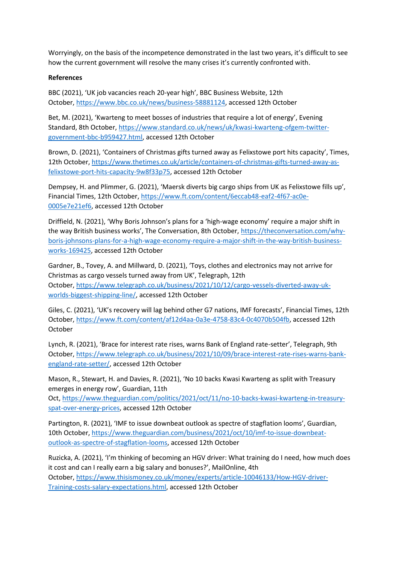Worryingly, on the basis of the incompetence demonstrated in the last two years, it's difficult to see how the current government will resolve the many crises it's currently confronted with.

## **References**

BBC (2021), 'UK job vacancies reach 20-year high', BBC Business Website, 12th October, [https://www.bbc.co.uk/news/business-58881124,](https://www.bbc.co.uk/news/business-58881124) accessed 12th October

Bet, M. (2021), 'Kwarteng to meet bosses of industries that require a lot of energy', Evening Standard, 8th October, [https://www.standard.co.uk/news/uk/kwasi-kwarteng-ofgem-twitter](https://www.standard.co.uk/news/uk/kwasi-kwarteng-ofgem-twitter-government-bbc-b959427.html)[government-bbc-b959427.html,](https://www.standard.co.uk/news/uk/kwasi-kwarteng-ofgem-twitter-government-bbc-b959427.html) accessed 12th October

Brown, D. (2021), 'Containers of Christmas gifts turned away as Felixstowe port hits capacity', Times, 12th October, [https://www.thetimes.co.uk/article/containers-of-christmas-gifts-turned-away-as](https://www.thetimes.co.uk/article/containers-of-christmas-gifts-turned-away-as-felixstowe-port-hits-capacity-9w8f33p75)[felixstowe-port-hits-capacity-9w8f33p75,](https://www.thetimes.co.uk/article/containers-of-christmas-gifts-turned-away-as-felixstowe-port-hits-capacity-9w8f33p75) accessed 12th October

Dempsey, H. and Plimmer, G. (2021), 'Maersk diverts big cargo ships from UK as Felixstowe fills up', Financial Times, 12th October, [https://www.ft.com/content/6eccab48-eaf2-4f67-ac0e-](https://www.ft.com/content/6eccab48-eaf2-4f67-ac0e-0005e7e21ef6)[0005e7e21ef6,](https://www.ft.com/content/6eccab48-eaf2-4f67-ac0e-0005e7e21ef6) accessed 12th October

Driffield, N. (2021), 'Why Boris Johnson's plans for a 'high-wage economy' require a major shift in the way British business works', The Conversation, 8th October, [https://theconversation.com/why](https://theconversation.com/why-boris-johnsons-plans-for-a-high-wage-economy-require-a-major-shift-in-the-way-british-business-works-169425)[boris-johnsons-plans-for-a-high-wage-economy-require-a-major-shift-in-the-way-british-business](https://theconversation.com/why-boris-johnsons-plans-for-a-high-wage-economy-require-a-major-shift-in-the-way-british-business-works-169425)[works-169425,](https://theconversation.com/why-boris-johnsons-plans-for-a-high-wage-economy-require-a-major-shift-in-the-way-british-business-works-169425) accessed 12th October

Gardner, B., Tovey, A. and Millward, D. (2021), 'Toys, clothes and electronics may not arrive for Christmas as cargo vessels turned away from UK', Telegraph, 12th October, [https://www.telegraph.co.uk/business/2021/10/12/cargo-vessels-diverted-away-uk](https://www.telegraph.co.uk/business/2021/10/12/cargo-vessels-diverted-away-uk-worlds-biggest-shipping-line/)[worlds-biggest-shipping-line/,](https://www.telegraph.co.uk/business/2021/10/12/cargo-vessels-diverted-away-uk-worlds-biggest-shipping-line/) accessed 12th October

Giles, C. (2021), 'UK's recovery will lag behind other G7 nations, IMF forecasts', Financial Times, 12th October, [https://www.ft.com/content/af12d4aa-0a3e-4758-83c4-0c4070b504fb,](https://www.ft.com/content/af12d4aa-0a3e-4758-83c4-0c4070b504fb) accessed 12th October

Lynch, R. (2021), 'Brace for interest rate rises, warns Bank of England rate-setter', Telegraph, 9th October, [https://www.telegraph.co.uk/business/2021/10/09/brace-interest-rate-rises-warns-bank](https://www.telegraph.co.uk/business/2021/10/09/brace-interest-rate-rises-warns-bank-england-rate-setter/)[england-rate-setter/,](https://www.telegraph.co.uk/business/2021/10/09/brace-interest-rate-rises-warns-bank-england-rate-setter/) accessed 12th October

Mason, R., Stewart, H. and Davies, R. (2021), 'No 10 backs Kwasi Kwarteng as split with Treasury emerges in energy row', Guardian, 11th

Oct, [https://www.theguardian.com/politics/2021/oct/11/no-10-backs-kwasi-kwarteng-in-treasury](https://www.theguardian.com/politics/2021/oct/11/no-10-backs-kwasi-kwarteng-in-treasury-spat-over-energy-prices)[spat-over-energy-prices,](https://www.theguardian.com/politics/2021/oct/11/no-10-backs-kwasi-kwarteng-in-treasury-spat-over-energy-prices) accessed 12th October

Partington, R. (2021), 'IMF to issue downbeat outlook as spectre of stagflation looms', Guardian, 10th October, [https://www.theguardian.com/business/2021/oct/10/imf-to-issue-downbeat](https://www.theguardian.com/business/2021/oct/10/imf-to-issue-downbeat-outlook-as-spectre-of-stagflation-looms)[outlook-as-spectre-of-stagflation-looms,](https://www.theguardian.com/business/2021/oct/10/imf-to-issue-downbeat-outlook-as-spectre-of-stagflation-looms) accessed 12th October

Ruzicka, A. (2021), 'I'm thinking of becoming an HGV driver: What training do I need, how much does it cost and can I really earn a big salary and bonuses?', MailOnline, 4th October, [https://www.thisismoney.co.uk/money/experts/article-10046133/How-HGV-driver-](https://www.thisismoney.co.uk/money/experts/article-10046133/How-HGV-driver-Training-costs-salary-expectations.html)[Training-costs-salary-expectations.html,](https://www.thisismoney.co.uk/money/experts/article-10046133/How-HGV-driver-Training-costs-salary-expectations.html) accessed 12th October